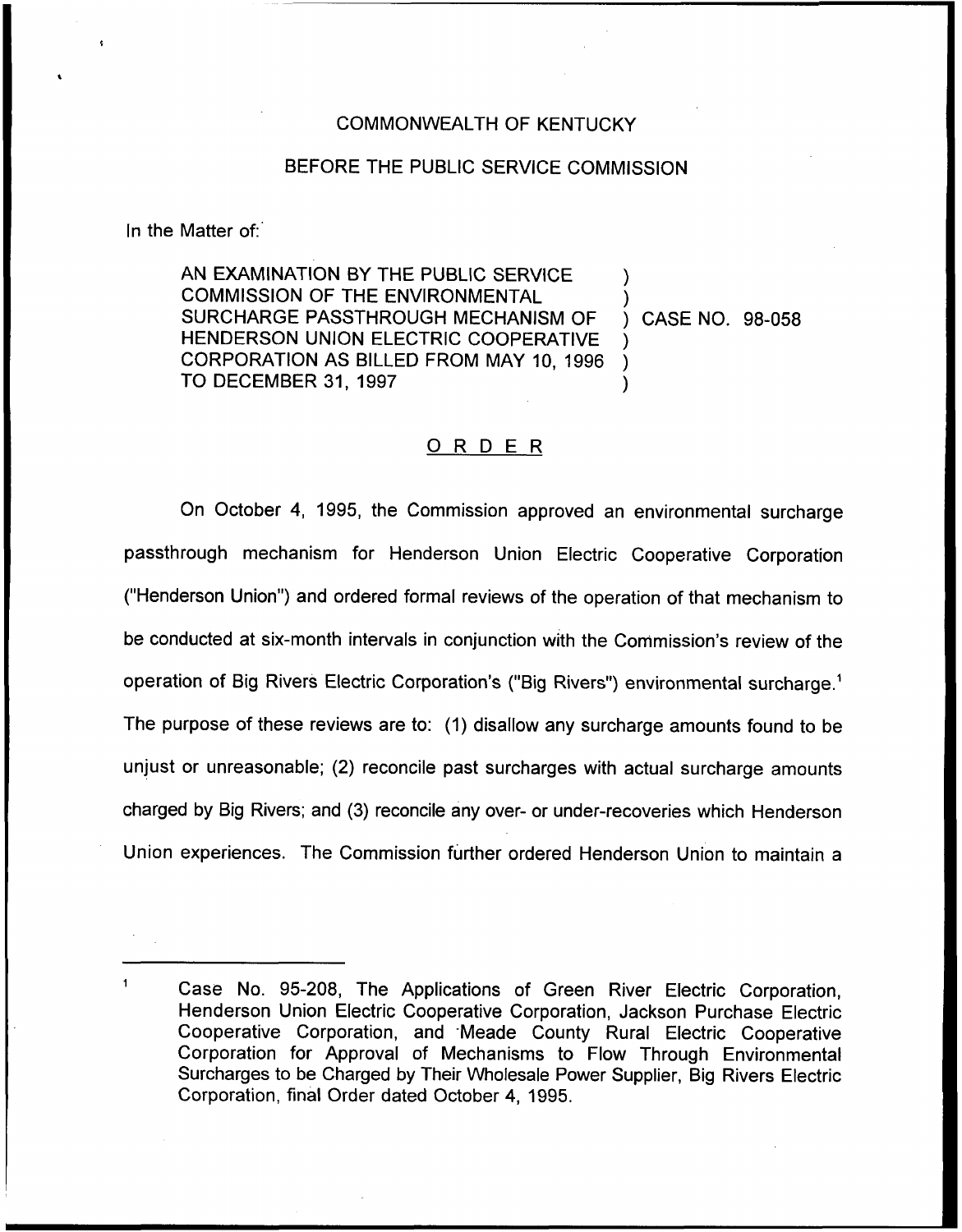## COMMONWEALTH OF KENTUCKY

## BEFORE THE PUBLIC SERVICE COMMISSION

In the Matter of:

AN EXAMINATION BY THE PUBLIC SERVICE COMMISSION OF THE ENVIRONMENTAL SURCHARGE PASSTHROUGH MECHANISM OF HENDERSON UNION ELECTRIC COOPERATIVE CORPORATION AS BILLED FROM MAY 10, 1996 TO DECEMBER 31, 1997

) CASE NO. 98-058

) )

) ) )

## ORDER

On October 4, 1995, the Commission approved an environmental surcharge passthrough mechanism for Henderson Union Electric Cooperative Corporation ("Henderson Union") and ordered formal reviews of the operation of that mechanism to be conducted at six-month intervals in conjunction with the Commission's review of the operation of Big Rivers Electric Corporation's ("Big Rivers") environmental surcharge.<sup>1</sup> The purpose of these reviews are to: (1) disallow any surcharge amounts found to be unjust or unreasonable; (2) reconcile past surcharges with actual surcharge amounts charged by Big Rivers; and (3) reconcile any over- or under-recoveries which Henderson Union experiences. The Commission further ordered Henderson Union to maintain a

Case No. 95-208, The Applications of Green River Electric Corporation, Henderson Union Electric Cooperative Corporation, Jackson Purchase Electric Cooperative Corporation, and Meade County Rural Electric Cooperative Corporation for Approval of Mechanisms to Flow Through Environmental Surcharges to be Charged by Their Wholesale Power Supplier, Big Rivers Electric Corporation, final Order dated October 4, 1995.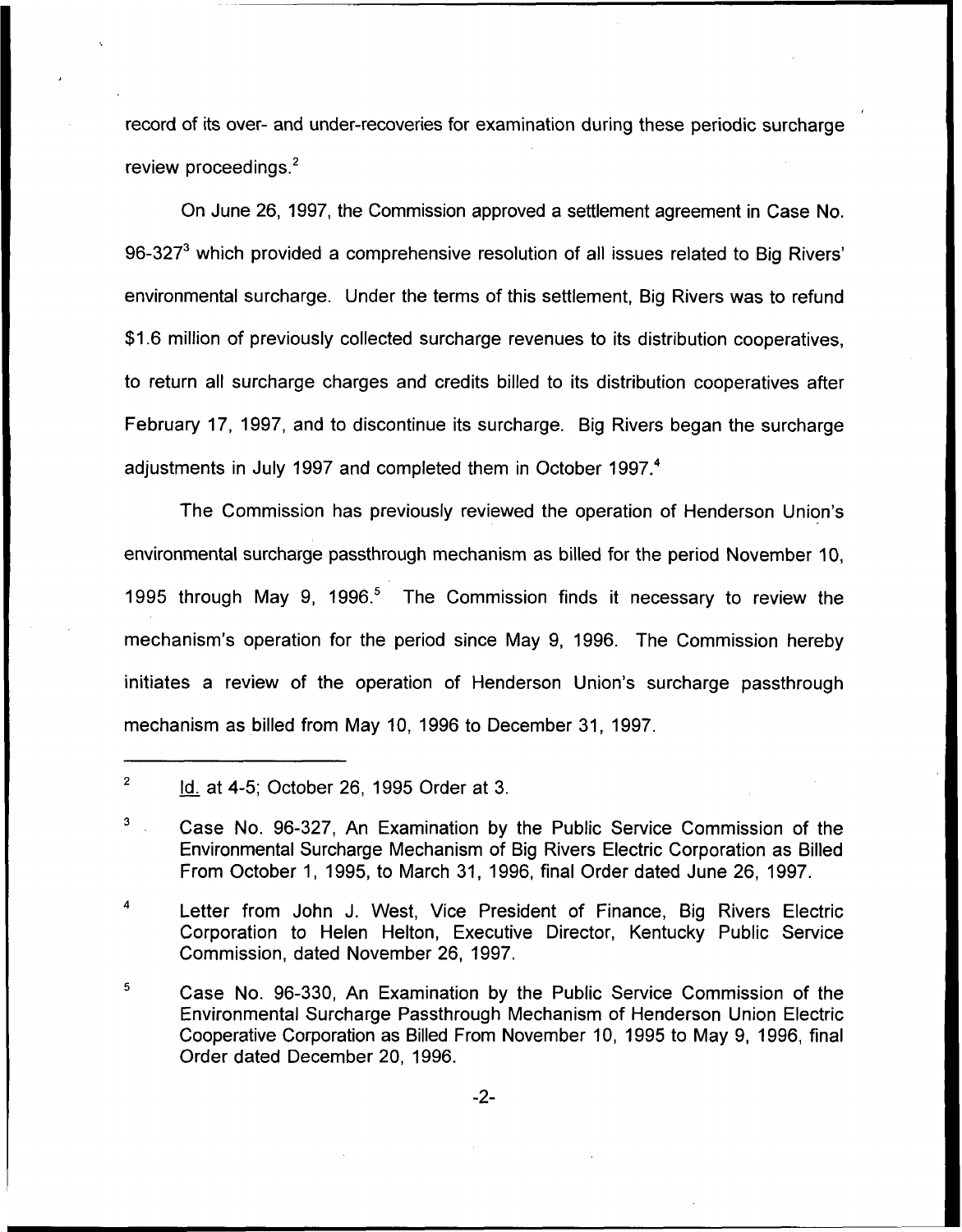record of its over- and under-recoveries for examination during these periodic surcharge review proceedings. $2$ 

On June 26, 1997, the Commission approved a settlement agreement in Case No. 96-327 $<sup>3</sup>$  which provided a comprehensive resolution of all issues related to Big Rivers'</sup> surcharge. Under the terms of this settlement, Big Rivers was to refun \$1.6 million of previously collected surcharge revenues to its distribution cooperatives, to return all surcharge charges and credits billed to its distribution cooperatives after February 17, 1997, and to discontinue its surcharge. Big Rivers began the surcharge adjustments in July 1997 and completed them in October 1997.<sup>4</sup>

The Commission has previously reviewed the operation of Henderson Union's environmental surcharge passthrough mechanism as billed for the period November 10, 1995 through May 9, 1996.<sup>5</sup> The Commission finds it necessary to review the mechanism's operation for the period since May 9, 1996. The Commission hereby initiates a review of the operation of Henderson Union's surcharge passthrough mechanism as billed from May 10, 1996 to December 31, 1997.

Letter from John J. West, Vice President of Finance, Big Rivers Electric Corporation to Helen Helton, Executive Director, Kentucky Public Service Commission, dated November 26, 1997.

 $\mathfrak s$ Case No. 96-330, An Examination by the Public Service Commission of the Environmental Surcharge Passthrough Mechanism of Henderson Union Electric Cooperative Corporation as Billed From November 10, 1995 to May 9, 1996, final Order dated December 20, 1996.

 $\overline{2}$ ld. at 4-5; October 26, 1995 Order at 3.

<sup>3</sup> Case No. 96-327, An Examination by the Public Service Commission of the Environmental Surcharge Mechanism of Big Rivers Electric Corporation as Billed From October 1, 1995, to March 31, 1996, final Order dated June 26, 1997.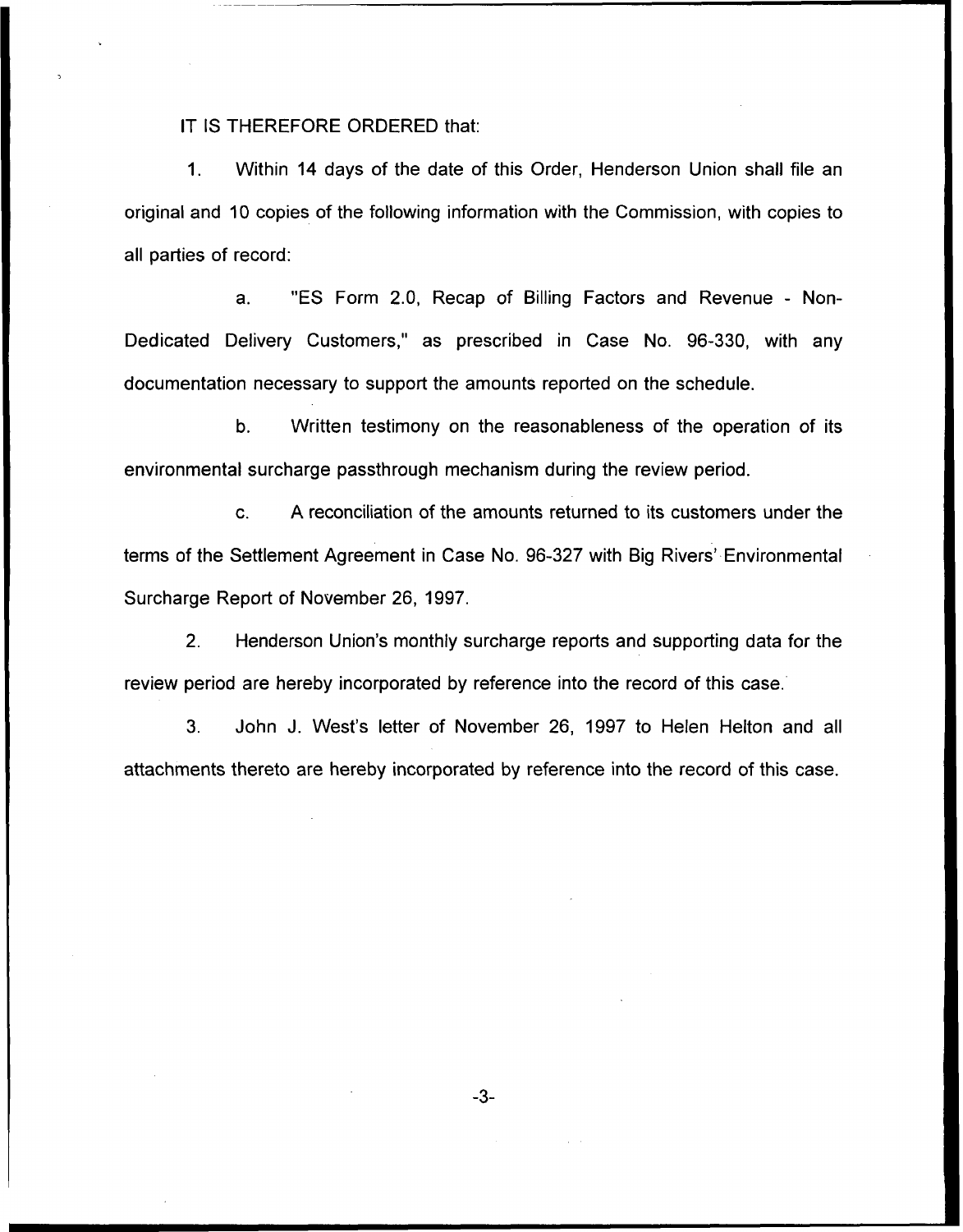## IT IS THEREFORE ORDERED that:

1. Within 14 days of the date of this Order, Henderson Union shall file an original and 10 copies of the following information with the Commission, with copies to all parties of record:

a. "ES Form 2.0, Recap of Billing Factors and Revenue - Non-Dedicated Delivery Customers," as prescribed in Case No. 96-330, with any documentation necessary to support the amounts reported on the schedule.

b. Written testimony on the reasonableness of the operation of its environmental surcharge passthrough mechanism during the review period.

c. <sup>A</sup> reconciliation of the amounts returned to its customers under the terms of the Settlement Agreement in Case No. 96-327 with Big Rivers' Environmental Surcharge Report of November 26, 1997.

2. Henderson Union's monthly surcharge reports and supporting data for the review period are hereby incorporated by reference into the record of this case.

3. John J. West's letter of November 26, 1997 to Helen Helton and all attachments thereto are hereby incorporated by reference into the record of this case.